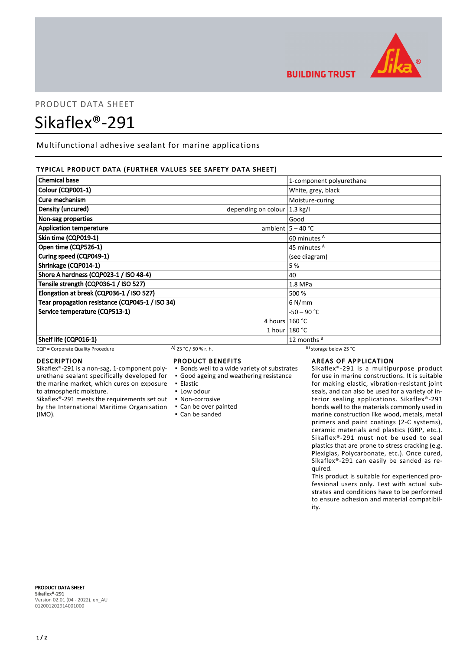

# PRODUCT DATA SHEET

# Sikaflex®-291

Multifunctional adhesive sealant for marine applications

### TYPICAL PRODUCT DATA (FURTHER VALUES SEE SAFETY DATA SHEET)

| <b>Chemical base</b>                            |                                         | 1-component polyurethane |
|-------------------------------------------------|-----------------------------------------|--------------------------|
| Colour (CQP001-1)                               |                                         | White, grey, black       |
| Cure mechanism                                  |                                         | Moisture-curing          |
| Density (uncured)                               | depending on colour $ 1.3 \text{ kg}/I$ |                          |
| Non-sag properties                              |                                         | Good                     |
| <b>Application temperature</b>                  |                                         | ambient $5 - 40$ °C      |
| Skin time (CQP019-1)                            |                                         | 60 minutes <sup>A</sup>  |
| Open time (CQP526-1)                            |                                         | 45 minutes <sup>A</sup>  |
| Curing speed (CQP049-1)                         |                                         | (see diagram)            |
| Shrinkage (CQP014-1)                            |                                         | 5 %                      |
| Shore A hardness (CQP023-1 / ISO 48-4)          |                                         | 40                       |
| Tensile strength (CQP036-1 / ISO 527)           |                                         | 1.8 MPa                  |
| Elongation at break (CQP036-1 / ISO 527)        |                                         | 500 %                    |
| Tear propagation resistance (CQP045-1 / ISO 34) |                                         | $6$ N/mm                 |
| Service temperature (CQP513-1)                  |                                         | -50 – 90 °C              |
|                                                 | 4 hours $160 °C$                        |                          |
|                                                 |                                         | 1 hour $180 °C$          |
| Shelf life (CQP016-1)                           |                                         | 12 months $B$            |

CQP = Corporate Quality Procedure A)  $23 °C / 50 %$  r. h. B) storage below 25 °C

#### DESCRIPTION

Sikaflex®-291 is a non-sag, 1-component polyurethane sealant specifically developed for the marine market, which cures on exposure to atmospheric moisture.

Sikaflex®-291 meets the requirements set out by the International Maritime Organisation (IMO).

# PRODUCT BENEFITS

- Bonds well to a wide variety of substrates
- Good ageing and weathering resistance
- Elastic
- **.** Low odour
- Non-corrosive
- Can be over painted
- Can be sanded

**BUILDING TRUST** 

# AREAS OF APPLICATION

Sikaflex®-291 is a multipurpose product for use in marine constructions. It is suitable for making elastic, vibration-resistant joint seals, and can also be used for a variety of interior sealing applications. Sikaflex®-291 bonds well to the materials commonly used in marine construction like wood, metals, metal primers and paint coatings (2-C systems), ceramic materials and plastics (GRP, etc.). Sikaflex®-291 must not be used to seal plastics that are prone to stress cracking (e.g. Plexiglas, Polycarbonate, etc.). Once cured, Sikaflex®-291 can easily be sanded as required.

This product is suitable for experienced professional users only. Test with actual substrates and conditions have to be performed to ensure adhesion and material compatibility.

PRODUCT DATA SHEET Sikaflex®-291 Version 02.01 (04 - 2022), en\_AU 012001202914001000